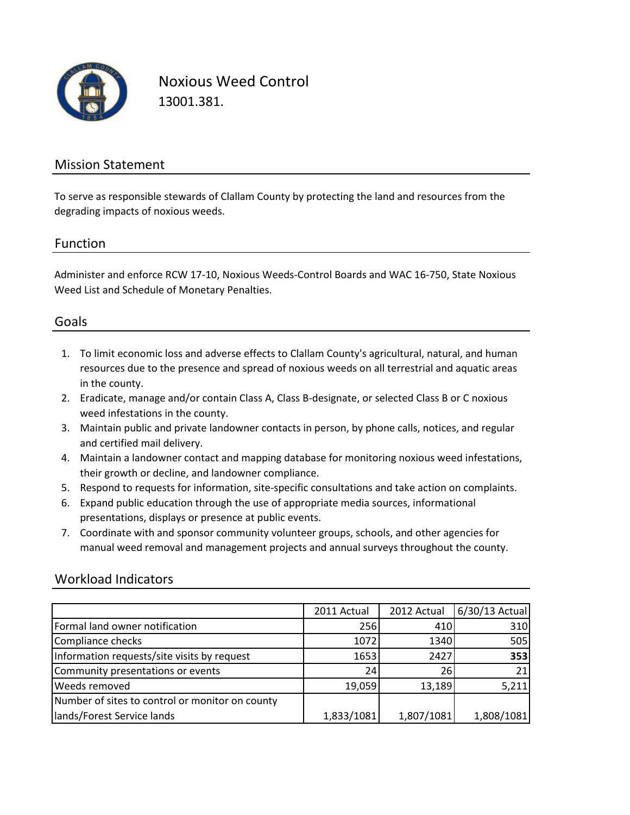

Noxious Weed Control 13001.381.

## Mission Statement

To serve as responsible stewards of Clallam County by protecting the land and resources from the degrading impacts of noxious weeds.

### Function

Administer and enforce RCW 17-10, Noxious Weeds-Control Boards and WAC 16-750, State Noxious Weed List and Schedule of Monetary Penalties.

## Goals

- 1. To limit economic loss and adverse effects to Clallam County's agricultural, natural, and human resources due to the presence and spread of noxious weeds on all terrestrial and aquatic areas in the county.
- 2. Eradicate, manage and/or contain Class A, Class B-designate, or selected Class B or C noxious weed infestations in the county.
- 3. Maintain public and private landowner contacts in person, by phone calls, notices, and regular and certified mail delivery.
- 4. Maintain a landowner contact and mapping database for monitoring noxious weed infestations, their growth or decline, and landowner compliance.
- 5. Respond to requests for information, site-specific consultations and take action on complaints.
- 6. Expand public education through the use of appropriate media sources, informational presentations, displays or presence at public events.
- 7. Coordinate with and sponsor community volunteer groups, schools, and other agencies for manual weed removal and management projects and annual surveys throughout the county.

## Workload Indicators

|                                                 | 2011 Actual | 2012 Actual | 6/30/13 Actual |
|-------------------------------------------------|-------------|-------------|----------------|
| Formal land owner notification                  | 256         | 410         | 310            |
| Compliance checks                               | 1072        | 1340        | 505            |
| Information requests/site visits by request     | 1653        | 2427        | 353            |
| Community presentations or events               | 24          | <b>26</b>   | 21             |
| <b>Weeds removed</b>                            | 19,059      | 13,189      | 5,211          |
| Number of sites to control or monitor on county |             |             |                |
| lands/Forest Service lands                      | 1,833/1081  | 1,807/1081  | 1,808/1081     |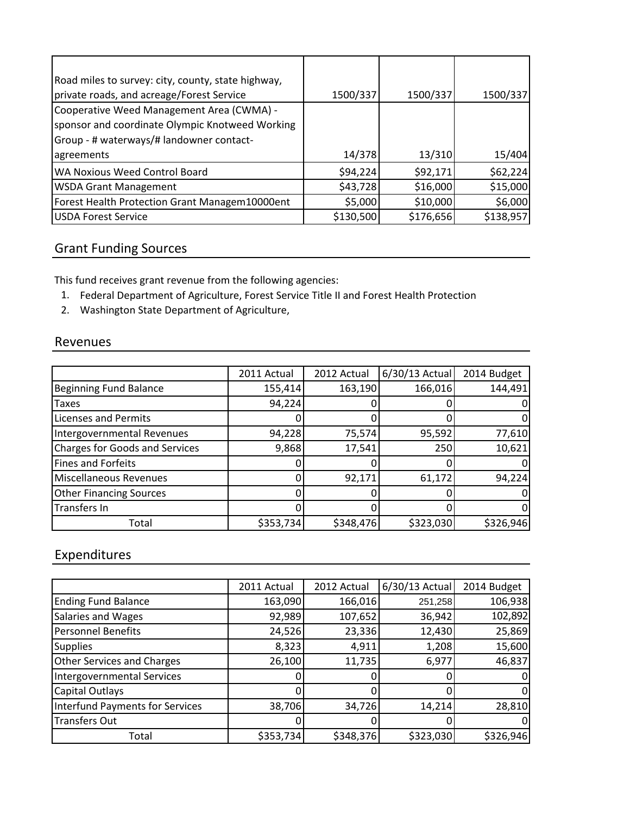| Road miles to survey: city, county, state highway, |           |           |           |
|----------------------------------------------------|-----------|-----------|-----------|
| private roads, and acreage/Forest Service          | 1500/337  | 1500/337  | 1500/337  |
| Cooperative Weed Management Area (CWMA) -          |           |           |           |
| sponsor and coordinate Olympic Knotweed Working    |           |           |           |
| Group - # waterways/# landowner contact-           |           |           |           |
| agreements                                         | 14/378    | 13/310    | 15/404    |
| WA Noxious Weed Control Board                      | \$94,224  | \$92,171  | \$62,224  |
| <b>WSDA Grant Management</b>                       | \$43,728  | \$16,000  | \$15,000  |
| Forest Health Protection Grant Managem10000ent     | \$5,000   | \$10,000  | \$6,000   |
| <b>USDA Forest Service</b>                         | \$130,500 | \$176,656 | \$138,957 |

# Grant Funding Sources

This fund receives grant revenue from the following agencies:

- 1. Federal Department of Agriculture, Forest Service Title II and Forest Health Protection
- 2. Washington State Department of Agriculture,

#### Revenues

|                                       | 2011 Actual | 2012 Actual | $6/30/13$ Actual | 2014 Budget |
|---------------------------------------|-------------|-------------|------------------|-------------|
| <b>Beginning Fund Balance</b>         | 155,414     | 163,190     | 166,016          | 144,491     |
| <b>Taxes</b>                          | 94,224      |             |                  |             |
| <b>Licenses and Permits</b>           |             |             |                  |             |
| Intergovernmental Revenues            | 94,228      | 75,574      | 95,592           | 77,610      |
| <b>Charges for Goods and Services</b> | 9,868       | 17,541      | 250              | 10,621      |
| Fines and Forfeits                    |             |             |                  |             |
| <b>Miscellaneous Revenues</b>         |             | 92,171      | 61,172           | 94,224      |
| <b>Other Financing Sources</b>        |             |             |                  |             |
| <b>Transfers In</b>                   |             |             |                  |             |
| Total                                 | \$353,734   | \$348,476   | \$323,030        | \$326,946   |

# Expenditures

|                                        | 2011 Actual | 2012 Actual | $6/30/13$ Actual | 2014 Budget |
|----------------------------------------|-------------|-------------|------------------|-------------|
| <b>Ending Fund Balance</b>             | 163,090     | 166,016     | 251,258          | 106,938     |
| Salaries and Wages                     | 92,989      | 107,652     | 36,942           | 102,892     |
| <b>Personnel Benefits</b>              | 24,526      | 23,336      | 12,430           | 25,869      |
| <b>Supplies</b>                        | 8,323       | 4,911       | 1,208            | 15,600      |
| <b>Other Services and Charges</b>      | 26,100      | 11,735      | 6,977            | 46,837      |
| <b>Intergovernmental Services</b>      |             |             |                  |             |
| Capital Outlays                        |             |             |                  | 0           |
| <b>Interfund Payments for Services</b> | 38,706      | 34,726      | 14,214           | 28,810      |
| <b>Transfers Out</b>                   |             |             |                  | 0           |
| Total                                  | \$353,734   | \$348,376   | \$323,030        | \$326,946   |